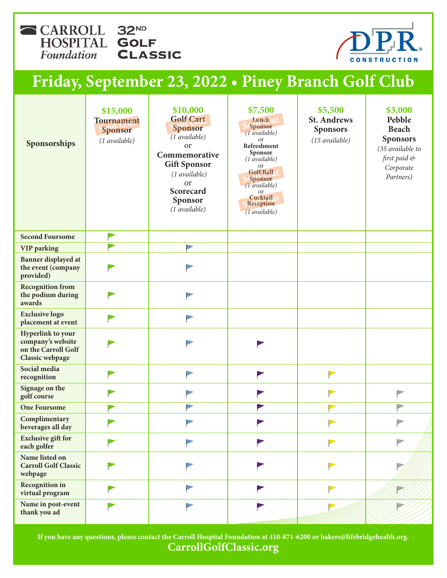CARROLL 32ND HOSPITAL GOLF Foundation **CLASSIC** 



## **Friday, September 23, 2022 • Piney Branch Golf Club**

| Sponsorships                                                                     | \$15,000<br><b>Tournament</b><br>Sponsor<br>(1 available) | \$10,000<br><b>Golf Cart</b><br>Sponsor<br>$(1$ available)<br><b>or</b><br>Commemorative<br><b>Gift Sponsor</b><br>(1 available)<br>or<br>Scorecard<br>Sponsor<br>(1 available) | \$7,500<br>Lunch<br>Sponsor<br>$(1$ available)<br>or<br>Refreshment<br>Sponsor<br>$(1$ <i>available</i> )<br>or<br><b>Golf Ball</b><br>Sponsor<br>$(1$ <i>available</i> )<br>or<br>Cocktail<br>Reception<br>$(1 \,\text{available})$ | \$5,500<br><b>St. Andrews</b><br><b>Sponsors</b><br>(15 available) | \$3,000<br>Pebble<br><b>Beach</b><br><b>Sponsors</b><br>(35 available to<br>first paid &<br>Corporate<br>Partners) |
|----------------------------------------------------------------------------------|-----------------------------------------------------------|---------------------------------------------------------------------------------------------------------------------------------------------------------------------------------|--------------------------------------------------------------------------------------------------------------------------------------------------------------------------------------------------------------------------------------|--------------------------------------------------------------------|--------------------------------------------------------------------------------------------------------------------|
| <b>Second Foursome</b>                                                           |                                                           |                                                                                                                                                                                 |                                                                                                                                                                                                                                      |                                                                    |                                                                                                                    |
| <b>VIP</b> parking                                                               |                                                           |                                                                                                                                                                                 |                                                                                                                                                                                                                                      |                                                                    |                                                                                                                    |
| Banner displayed at<br>the event (company<br>provided)                           |                                                           |                                                                                                                                                                                 |                                                                                                                                                                                                                                      |                                                                    |                                                                                                                    |
| <b>Recognition from</b><br>the podium during<br>awards                           |                                                           |                                                                                                                                                                                 |                                                                                                                                                                                                                                      |                                                                    |                                                                                                                    |
| <b>Exclusive logo</b><br>placement at event                                      |                                                           |                                                                                                                                                                                 |                                                                                                                                                                                                                                      |                                                                    |                                                                                                                    |
| Hyperlink to your<br>company's website<br>on the Carroll Golf<br>Classic webpage |                                                           |                                                                                                                                                                                 |                                                                                                                                                                                                                                      |                                                                    |                                                                                                                    |
| Social media<br>recognition                                                      |                                                           |                                                                                                                                                                                 |                                                                                                                                                                                                                                      | $\blacktriangleright$                                              |                                                                                                                    |
| Signage on the<br>golf course                                                    |                                                           |                                                                                                                                                                                 |                                                                                                                                                                                                                                      |                                                                    | $\triangleright$                                                                                                   |
| <b>One Foursome</b>                                                              |                                                           |                                                                                                                                                                                 |                                                                                                                                                                                                                                      |                                                                    |                                                                                                                    |
| Complimentary<br>beverages all day                                               |                                                           |                                                                                                                                                                                 |                                                                                                                                                                                                                                      | $\rightarrow$                                                      |                                                                                                                    |
| <b>Exclusive gift for</b><br>each golfer                                         |                                                           |                                                                                                                                                                                 |                                                                                                                                                                                                                                      | $\blacktriangleright$                                              | P                                                                                                                  |
| Name listed on<br><b>Carroll Golf Classic</b><br>webpage                         |                                                           |                                                                                                                                                                                 |                                                                                                                                                                                                                                      | ▶                                                                  |                                                                                                                    |
| <b>Recognition</b> in<br>virtual program                                         |                                                           |                                                                                                                                                                                 |                                                                                                                                                                                                                                      | $\blacktriangleright$                                              |                                                                                                                    |
| Name in post-event<br>thank you ad                                               |                                                           |                                                                                                                                                                                 |                                                                                                                                                                                                                                      |                                                                    |                                                                                                                    |

**If you have any questions, please contact the Carroll Hospital Foundation at 410-871-6200 or hakers@lifebridgehealth.org. CarrollGolfClassic.org**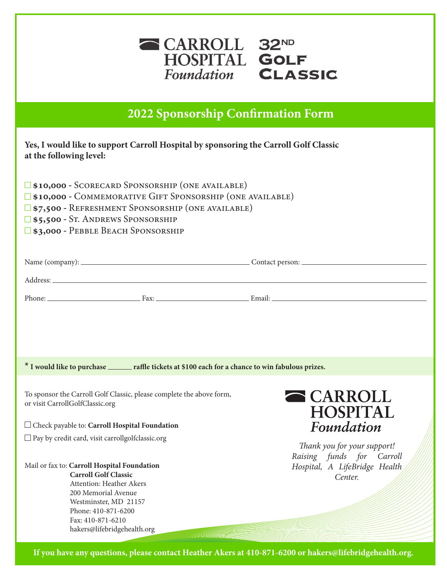

**Opportunities 2022 Sponsorship Confirmation Form**

## **Yes, I would like to support Carroll Hospital by sponsoring the Carroll Golf Classic at the following level:**

| <b>S10,000 - SCORECARD SPONSORSHIP (ONE AVAILABLE)</b>          |
|-----------------------------------------------------------------|
| <b>S10,000 - COMMEMORATIVE GIFT SPONSORSHIP (ONE AVAILABLE)</b> |
| $\square$ \$7,500 - REFRESHMENT SPONSORSHIP (ONE AVAILABLE)     |

- **\$5,500** St. Andrews Sponsorship
- **\$3,000** Pebble Beach Sponsorship

| Name (company): _ | Contact person: $\overline{\phantom{a}}$ |
|-------------------|------------------------------------------|
| Address:          |                                          |

l

Phone: Email: Email: Email: Email: Email: Email: Email: Email: Email: Email: Email: Email: Email: Email: Email: Email: Email: Email: Email: Email: Email: Email: Email: Email: Email: Email: Email: Email: Email: Email: Email

**\* I would like to purchase raffle tickets at \$100 each for a chance to win fabulous prizes.**

To sponsor the Carroll Golf Classic, please complete the above form, or visit CarrollGolfClassic.org

Check payable to: **Carroll Hospital Foundation**

 $\square$  Pay by credit card, visit carrollgolfclassic.org

Mail or fax to: **Carroll Hospital Foundation Carroll Golf Classic** Attention: Heather Akers 200 Memorial Avenue Westminster, MD 21157 Phone: 410-871-6200 Fax: 410-871-6210

hakers@lifebridgehealth.org



*Thank you for your support! Raising funds for Carroll Hospital, A LifeBridge Health Center.*

*Support the Carroll Hospital Foundation by adding raffle tickets to your registration!* If you have any questions, please contact Heather Akers at 410-871-6200 or hakers@lifebridgehealth.org.